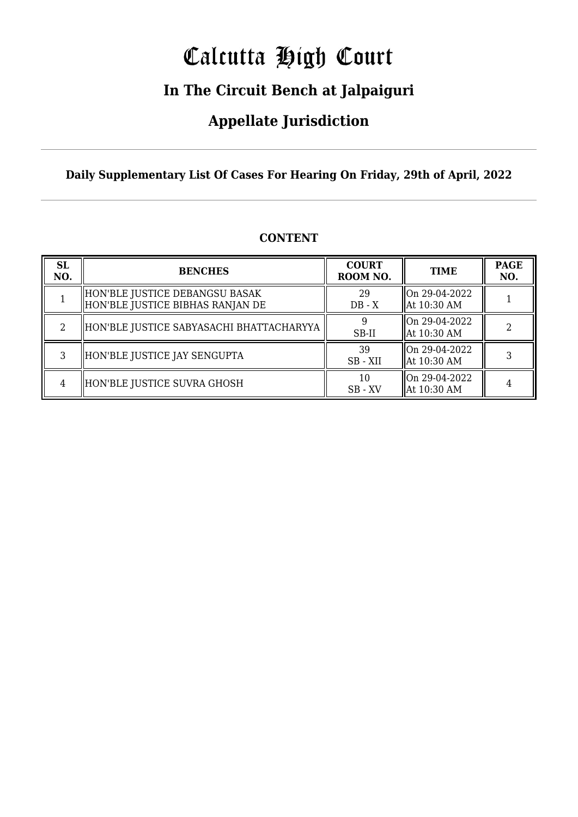# Calcutta High Court

### **In The Circuit Bench at Jalpaiguri**

### **Appellate Jurisdiction**

**Daily Supplementary List Of Cases For Hearing On Friday, 29th of April, 2022**

| <b>SL</b><br>NO. | <b>BENCHES</b>                                                     | <b>COURT</b><br>ROOM NO. | <b>TIME</b>                      | <b>PAGE</b><br>NO. |
|------------------|--------------------------------------------------------------------|--------------------------|----------------------------------|--------------------|
|                  | HON'BLE JUSTICE DEBANGSU BASAK<br>HON'BLE JUSTICE BIBHAS RANJAN DE | 29<br>$DB - X$           | On 29-04-2022<br>  At 10:30 AM   |                    |
| 2                | HON'BLE JUSTICE SABYASACHI BHATTACHARYYA                           | 9<br>SB-II               | llOn 29-04-2022<br>  At 10:30 AM |                    |
| 3                | HON'BLE JUSTICE JAY SENGUPTA                                       | 39<br>SB-XII             | On 29-04-2022<br>  At 10:30 AM   |                    |
| 4                | HON'BLE JUSTICE SUVRA GHOSH                                        | 10<br>$SB - XV$          | lon 29-04-2022<br>  At 10:30 AM  |                    |

#### **CONTENT**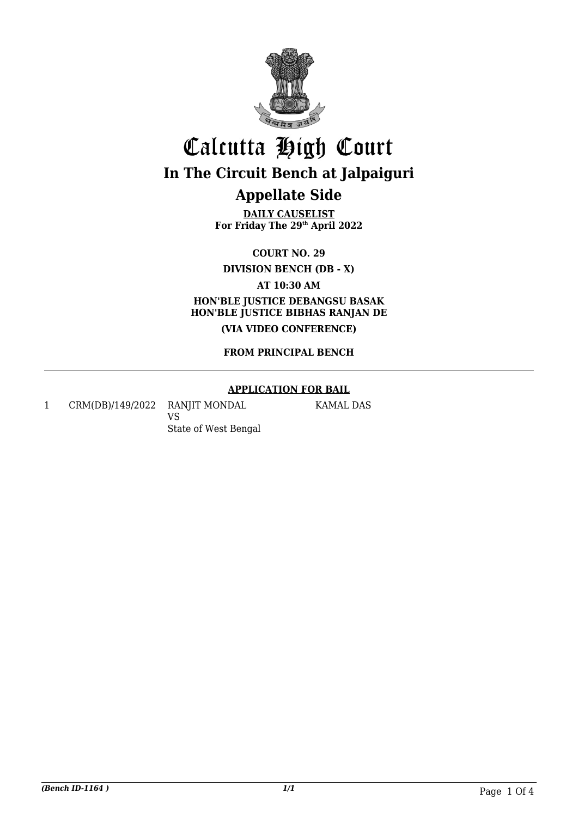

**DAILY CAUSELIST For Friday The 29th April 2022**

**COURT NO. 29**

**DIVISION BENCH (DB - X)**

**AT 10:30 AM**

**HON'BLE JUSTICE DEBANGSU BASAK HON'BLE JUSTICE BIBHAS RANJAN DE (VIA VIDEO CONFERENCE)**

#### **FROM PRINCIPAL BENCH**

#### **APPLICATION FOR BAIL**

1 CRM(DB)/149/2022 RANJIT MONDAL VS

KAMAL DAS

State of West Bengal

*(Bench ID-1164 ) 1/1* Page 1 Of 4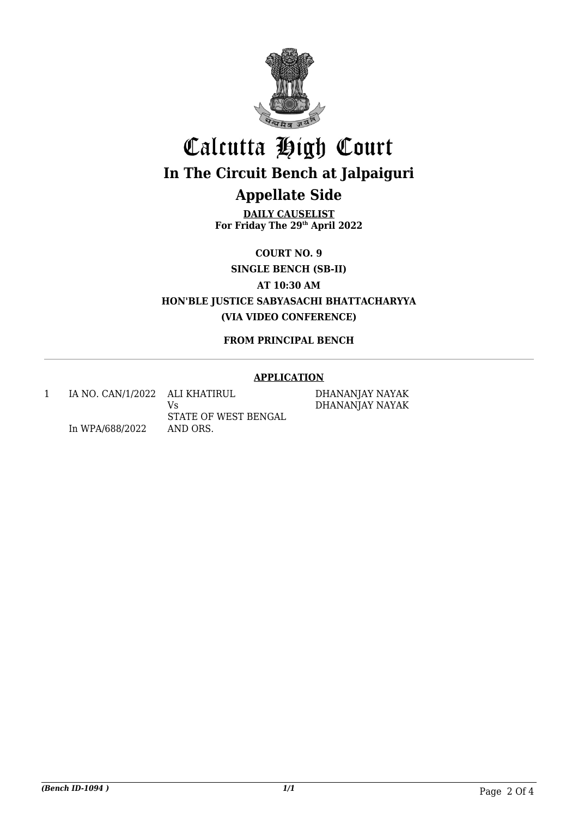

**DAILY CAUSELIST For Friday The 29th April 2022**

**COURT NO. 9**

**SINGLE BENCH (SB-II)**

**AT 10:30 AM**

**HON'BLE JUSTICE SABYASACHI BHATTACHARYYA (VIA VIDEO CONFERENCE)**

#### **FROM PRINCIPAL BENCH**

#### **APPLICATION**

1 IA NO. CAN/1/2022 ALI KHATIRUL In WPA/688/2022 Vs STATE OF WEST BENGAL AND ORS.

DHANANJAY NAYAK DHANANJAY NAYAK

*(Bench ID-1094 ) 1/1* Page 2 Of 4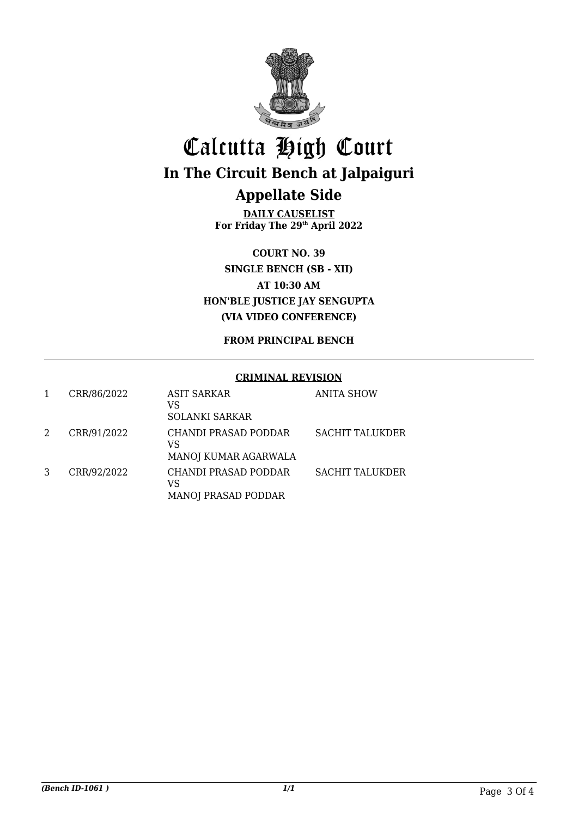

**DAILY CAUSELIST For Friday The 29th April 2022**

**COURT NO. 39 SINGLE BENCH (SB - XII) AT 10:30 AM HON'BLE JUSTICE JAY SENGUPTA (VIA VIDEO CONFERENCE)**

#### **FROM PRINCIPAL BENCH**

#### **CRIMINAL REVISION**

|   | CRR/86/2022 | ASIT SARKAR<br>VS<br><b>SOLANKI SARKAR</b>               | <b>ANITA SHOW</b>      |
|---|-------------|----------------------------------------------------------|------------------------|
| 2 | CRR/91/2022 | CHANDI PRASAD PODDAR<br>VS<br>MANOJ KUMAR AGARWALA       | <b>SACHIT TALUKDER</b> |
|   | CRR/92/2022 | CHANDI PRASAD PODDAR<br>VS<br><b>MANOJ PRASAD PODDAR</b> | <b>SACHIT TALUKDER</b> |